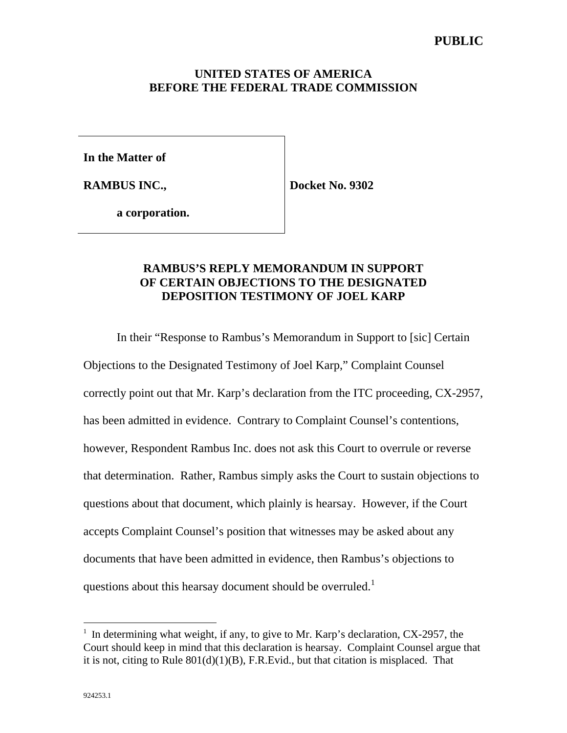## **UNITED STATES OF AMERICA BEFORE THE FEDERAL TRADE COMMISSION**

**In the Matter of**

**RAMBUS INC.,**

**Docket No. 9302**

**a corporation.**

## **RAMBUS'S REPLY MEMORANDUM IN SUPPORT OF CERTAIN OBJECTIONS TO THE DESIGNATED DEPOSITION TESTIMONY OF JOEL KARP**

In their "Response to Rambus's Memorandum in Support to [sic] Certain Objections to the Designated Testimony of Joel Karp," Complaint Counsel correctly point out that Mr. Karp's declaration from the ITC proceeding, CX-2957, has been admitted in evidence. Contrary to Complaint Counsel's contentions, however, Respondent Rambus Inc. does not ask this Court to overrule or reverse that determination. Rather, Rambus simply asks the Court to sustain objections to questions about that document, which plainly is hearsay. However, if the Court accepts Complaint Counsel's position that witnesses may be asked about any documents that have been admitted in evidence, then Rambus's objections to questions about this hearsay document should be overruled.<sup>1</sup>

 $\overline{a}$ 

 $<sup>1</sup>$  In determining what weight, if any, to give to Mr. Karp's declaration, CX-2957, the</sup> Court should keep in mind that this declaration is hearsay. Complaint Counsel argue that it is not, citing to Rule 801(d)(1)(B), F.R.Evid., but that citation is misplaced. That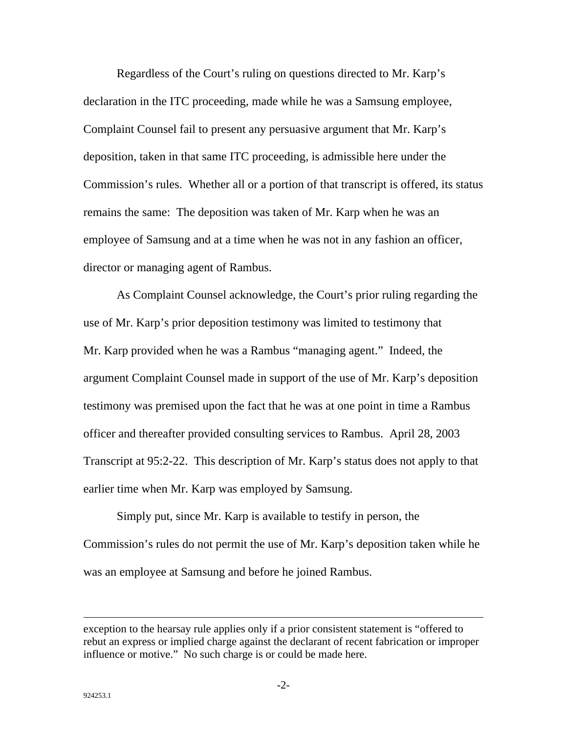Regardless of the Court's ruling on questions directed to Mr. Karp's declaration in the ITC proceeding, made while he was a Samsung employee, Complaint Counsel fail to present any persuasive argument that Mr. Karp's deposition, taken in that same ITC proceeding, is admissible here under the Commission's rules. Whether all or a portion of that transcript is offered, its status remains the same: The deposition was taken of Mr. Karp when he was an employee of Samsung and at a time when he was not in any fashion an officer, director or managing agent of Rambus.

As Complaint Counsel acknowledge, the Court's prior ruling regarding the use of Mr. Karp's prior deposition testimony was limited to testimony that Mr. Karp provided when he was a Rambus "managing agent." Indeed, the argument Complaint Counsel made in support of the use of Mr. Karp's deposition testimony was premised upon the fact that he was at one point in time a Rambus officer and thereafter provided consulting services to Rambus. April 28, 2003 Transcript at 95:2-22. This description of Mr. Karp's status does not apply to that earlier time when Mr. Karp was employed by Samsung.

Simply put, since Mr. Karp is available to testify in person, the Commission's rules do not permit the use of Mr. Karp's deposition taken while he was an employee at Samsung and before he joined Rambus.

 $\overline{a}$ 

exception to the hearsay rule applies only if a prior consistent statement is "offered to rebut an express or implied charge against the declarant of recent fabrication or improper influence or motive." No such charge is or could be made here.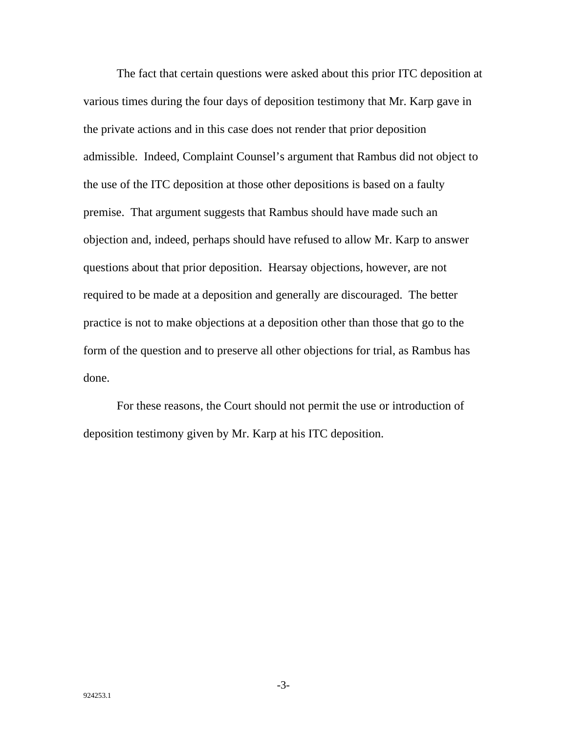The fact that certain questions were asked about this prior ITC deposition at various times during the four days of deposition testimony that Mr. Karp gave in the private actions and in this case does not render that prior deposition admissible. Indeed, Complaint Counsel's argument that Rambus did not object to the use of the ITC deposition at those other depositions is based on a faulty premise. That argument suggests that Rambus should have made such an objection and, indeed, perhaps should have refused to allow Mr. Karp to answer questions about that prior deposition. Hearsay objections, however, are not required to be made at a deposition and generally are discouraged. The better practice is not to make objections at a deposition other than those that go to the form of the question and to preserve all other objections for trial, as Rambus has done.

For these reasons, the Court should not permit the use or introduction of deposition testimony given by Mr. Karp at his ITC deposition.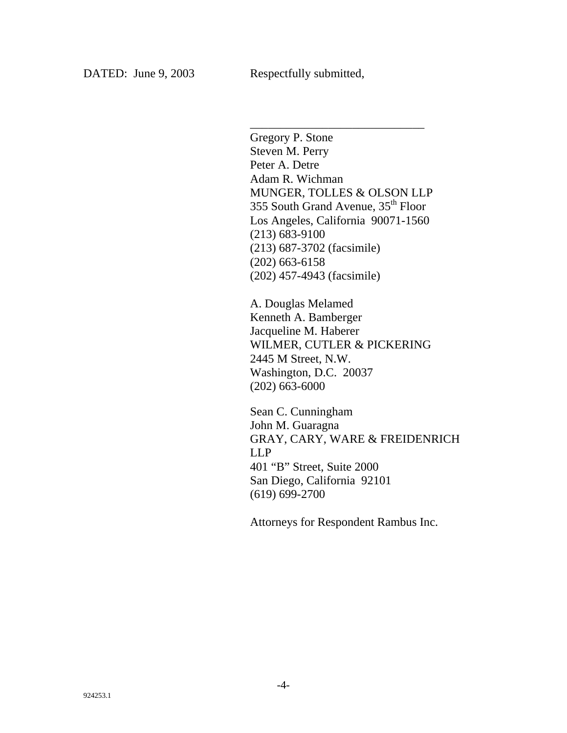Gregory P. Stone Steven M. Perry Peter A. Detre Adam R. Wichman MUNGER, TOLLES & OLSON LLP 355 South Grand Avenue, 35th Floor Los Angeles, California 90071-1560 (213) 683-9100 (213) 687-3702 (facsimile) (202) 663-6158 (202) 457-4943 (facsimile)

\_\_\_\_\_\_\_\_\_\_\_\_\_\_\_\_\_\_\_\_\_\_\_\_\_\_\_\_\_

A. Douglas Melamed Kenneth A. Bamberger Jacqueline M. Haberer WILMER, CUTLER & PICKERING 2445 M Street, N.W. Washington, D.C. 20037 (202) 663-6000

Sean C. Cunningham John M. Guaragna GRAY, CARY, WARE & FREIDENRICH LLP 401 "B" Street, Suite 2000 San Diego, California 92101 (619) 699-2700

Attorneys for Respondent Rambus Inc.